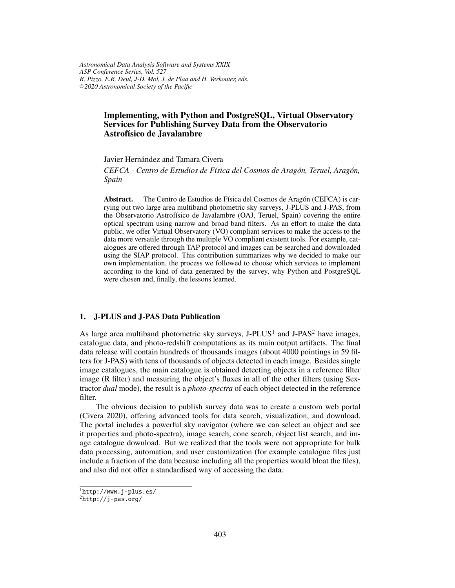*Astronomical Data Analysis Software and Systems XXIX ASP Conference Series, Vol. 527 R. Pizzo, E.R. Deul, J-D. Mol, J. de Plaa and H. Verkouter, eds.* <sup>c</sup> *2020 Astronomical Society of the Pacific*

# **Implementing, with Python and PostgreSQL, Virtual Observatory Services for Publishing Survey Data from the Observatorio Astrofísico de Javalambre**

Javier Hernández and Tamara Civera

*CEFCA - Centro de Estudios de Física del Cosmos de Aragón, Teruel, Aragón, Spain*

**Abstract.** The Centro de Estudios de Física del Cosmos de Aragón (CEFCA) is carrying out two large area multiband photometric sky surveys, J-PLUS and J-PAS, from the Observatorio Astrofísico de Javalambre (OAJ, Teruel, Spain) covering the entire optical spectrum using narrow and broad band filters. As an effort to make the data public, we offer Virtual Observatory (VO) compliant services to make the access to the data more versatile through the multiple VO compliant existent tools. For example, catalogues are offered through TAP protocol and images can be searched and downloaded using the SIAP protocol. This contribution summarizes why we decided to make our own implementation, the process we followed to choose which services to implement according to the kind of data generated by the survey, why Python and PostgreSQL were chosen and, finally, the lessons learned.

## **1. J-PLUS and J-PAS Data Publication**

As large area multiband photometric sky surveys,  $J-PLUS<sup>1</sup>$  and  $J- PAS<sup>2</sup>$  have images, catalogue data, and photo-redshift computations as its main output artifacts. The final data release will contain hundreds of thousands images (about 4000 pointings in 59 filters for J-PAS) with tens of thousands of objects detected in each image. Besides single image catalogues, the main catalogue is obtained detecting objects in a reference filter image (R filter) and measuring the object's fluxes in all of the other filters (using Sextractor *dual* mode), the result is a *photo-spectra* of each object detected in the reference filter.

The obvious decision to publish survey data was to create a custom web portal (Civera 2020), offering advanced tools for data search, visualization, and download. The portal includes a powerful sky navigator (where we can select an object and see it properties and photo-spectra), image search, cone search, object list search, and image catalogue download. But we realized that the tools were not appropriate for bulk data processing, automation, and user customization (for example catalogue files just include a fraction of the data because including all the properties would bloat the files), and also did not offer a standardised way of accessing the data.

<sup>1</sup>http://www.j-plus.es/

 ${}^{2}$ http://j-pas.org/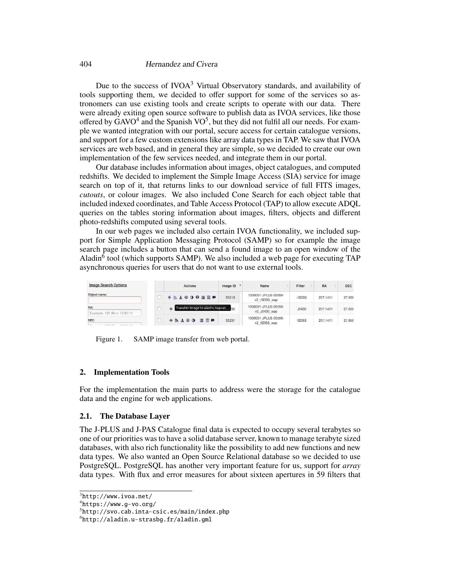#### 404 Hernandez and Civera

Due to the success of IVOA<sup>3</sup> Virtual Observatory standards, and availability of tools supporting them, we decided to offer support for some of the services so astronomers can use existing tools and create scripts to operate with our data. There were already exiting open source software to publish data as IVOA services, like those offered by  $\text{GAVO}^4$  and the Spanish  $\text{VO}^5$ , but they did not fulfil all our needs. For example we wanted integration with our portal, secure access for certain catalogue versions, and support for a few custom extensions like array data types in TAP. We saw that IVOA services are web based, and in general they are simple, so we decided to create our own implementation of the few services needed, and integrate them in our portal.

Our database includes information about images, object catalogues, and computed redshifts. We decided to implement the Simple Image Access (SIA) service for image search on top of it, that returns links to our download service of full FITS images, *cutouts*, or colour images. We also included Cone Search for each object table that included indexed coordinates, and Table Access Protocol (TAP) to allow execute ADQL queries on the tables storing information about images, filters, objects and different photo-redshifts computed using several tools.

In our web pages we included also certain IVOA functionality, we included support for Simple Application Messaging Protocol (SAMP) so for example the image search page includes a button that can send a found image to an open window of the Aladin<sup>6</sup> tool (which supports SAMP). We also included a web page for executing TAP asynchronous queries for users that do not want to use external tools.

| <b>Image Search Options</b>        | <b>Actions</b>                       | Image ID | Name                                 | Filter       | <b>RA</b> | <b>DEC</b> |
|------------------------------------|--------------------------------------|----------|--------------------------------------|--------------|-----------|------------|
| Object name:                       |                                      | 33218    | 1000001-JPLUS-00596-<br>v2 rSDSS swp | rSDSS        | 207.1411  | 27,658     |
| RA:<br>Example: 120.99 or 12:80:11 | Transfer image to aladin, topcat, as |          | 1000001-JPLUS-00596-<br>v2 J0430 swp | J0430        | 207.1411  | 27,658     |
| DEC:                               | $\div$ 5 $\pm$ 00<br>温日早             | 33237    | 1000001-JPLUS-00596-<br>v2 iSDSS swp | <b>iSDSS</b> | 207.1411  | 27,658     |

Figure 1. SAMP image transfer from web portal.

### **2. Implementation Tools**

For the implementation the main parts to address were the storage for the catalogue data and the engine for web applications.

### **2.1. The Database Layer**

The J-PLUS and J-PAS Catalogue final data is expected to occupy several terabytes so one of our priorities was to have a solid database server, known to manage terabyte sized databases, with also rich functionality like the possibility to add new functions and new data types. We also wanted an Open Source Relational database so we decided to use PostgreSQL. PostgreSQL has another very important feature for us, support for *array* data types. With flux and error measures for about sixteen apertures in 59 filters that

 $3$ http://www.ivoa.net/

 $4$ https://www.g-vo.org/

<sup>5</sup>http://svo.cab.inta-csic.es/main/index.php

<sup>6</sup>http://aladin.u-strasbg.fr/aladin.gml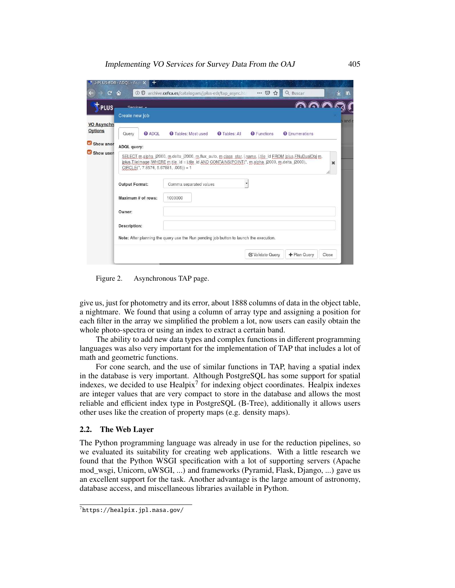| $\mathbf{C}$                  | $\hat{u}$             |               | 10 T archive.cefca.es/catalogues/jplus-edr/tap_async.htm                                          |                      | … ⊙☆               | Q Buscar              |             |
|-------------------------------|-----------------------|---------------|---------------------------------------------------------------------------------------------------|----------------------|--------------------|-----------------------|-------------|
| T-PLUS                        | Convince -            |               |                                                                                                   |                      |                    |                       |             |
|                               | Create new job        |               |                                                                                                   |                      |                    |                       |             |
| <b>VO Asynchro</b><br>Options | Query                 | <b>@ ADOL</b> | <b>O</b> Tables: Most used                                                                        | <b>O</b> Tables: All | <b>O</b> Functions | <b>O</b> Enumerations |             |
| Show anor                     | ADQL query:           |               |                                                                                                   |                      |                    |                       |             |
|                               |                       |               | jplus.TileImage iWHERE m.tile id = i.tile id AND CONTAINS(POINT(", m.alpha_j2000, m.delta_j2000), |                      |                    |                       | $\mathbf x$ |
|                               | <b>Output Format:</b> |               | $CIRCLE(", 7.8574, 5.67881, .005)) = 1$<br>Comma separated values                                 |                      |                    |                       |             |
|                               | Maximum # of rows:    |               | 1000000                                                                                           |                      |                    |                       |             |
|                               | Owner:                |               |                                                                                                   |                      |                    |                       |             |
|                               | Description:          |               |                                                                                                   |                      |                    |                       |             |
|                               |                       |               | Note: After planning the query use the Run pending job button to launch the execution.            |                      |                    |                       |             |

Figure 2. Asynchronous TAP page.

give us, just for photometry and its error, about 1888 columns of data in the object table, a nightmare. We found that using a column of array type and assigning a position for each filter in the array we simplified the problem a lot, now users can easily obtain the whole photo-spectra or using an index to extract a certain band.

The ability to add new data types and complex functions in different programming languages was also very important for the implementation of TAP that includes a lot of math and geometric functions.

For cone search, and the use of similar functions in TAP, having a spatial index in the database is very important. Although PostgreSQL has some support for spatial indexes, we decided to use Healpix<sup>7</sup> for indexing object coordinates. Healpix indexes are integer values that are very compact to store in the database and allows the most reliable and efficient index type in PostgreSQL (B-Tree), additionally it allows users other uses like the creation of property maps (e.g. density maps).

#### **2.2. The Web Layer**

The Python programming language was already in use for the reduction pipelines, so we evaluated its suitability for creating web applications. With a little research we found that the Python WSGI specification with a lot of supporting servers (Apache mod\_wsgi, Unicorn, uWSGI, ...) and frameworks (Pyramid, Flask, Django, ...) gave us an excellent support for the task. Another advantage is the large amount of astronomy, database access, and miscellaneous libraries available in Python.

 $^{7}$ https://healpix.jpl.nasa.gov/